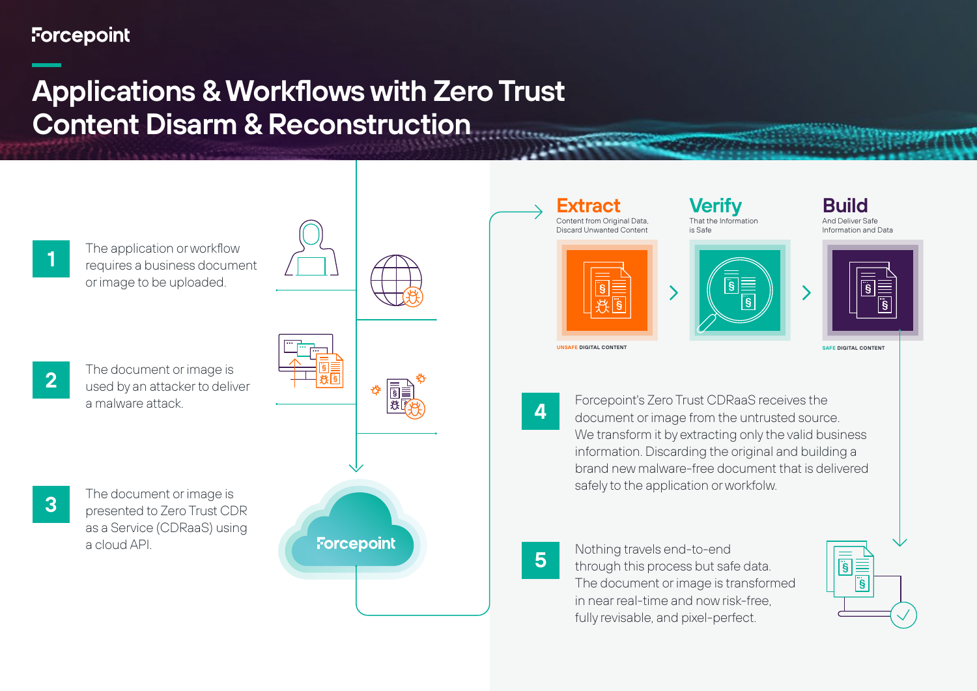# **Forcepoint**

# **Applications & Workflows with Zero Trust Content Disarm & Reconstruction**



**1** The application or workflow<br>**1** Prequires a business document or image to be uploaded.

- 
- **2** The document or image is<br>
used by an attacker to deliver a malware attack.



**Forcepoint** 







**SAFE DIGITAL CONTENT**

**UNSAFE DIGITAL CONTENT**

**4** Forcepoint's Zero Trust CDRaaS receives the document or image from the untrusted source. We transform it by extracting only the valid business information. Discarding the original and building a brand new malware-free document that is delivered safely to the application or workfolw.

**5** Nothing travels end-to-end<br>
through this process but safe data. The document or image is transformed in near real-time and now risk-free, fully revisable, and pixel-perfect.



**3** The document or image is<br> **3** Presented to Zero Trust CDR as a Service (CDRaaS) using a cloud API.